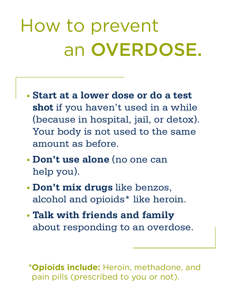# How to prevent an OVERDOSE.

- . **Start at a lower dose or do a test shot** if you haven't used in a while (because in hospital, jail, or detox). Your body is not used to the same amount as before.
- . **Don't use alone** (no one can help you).
- . **Don't mix drugs** like benzos, alcohol and opioids\* like heroin.
- . **Talk with friends and family**  about responding to an overdose.

\***Opioids include:** Heroin, methadone, and pain pills (prescribed to you or not).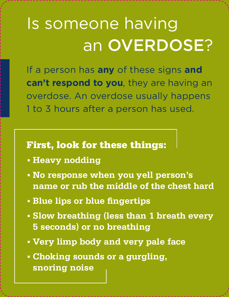## Is someone having an **OVERDOSE?**

If a person has **any** of these signs **and can't respond to you**, they are having an overdose. An overdose usually happens 1 to 3 hours after a person has used.

#### First, look for these things:

- . **Heavy nodding**
- . **No response when you yell person's name or rub the middle of the chest hard**
- . **Blue lips or blue fingertips**
- . **Slow breathing (less than 1 breath every 5 seconds) or no breathing**
- . **Very limp body and very pale face**
- . **Choking sounds or a gurgling, snoring noise**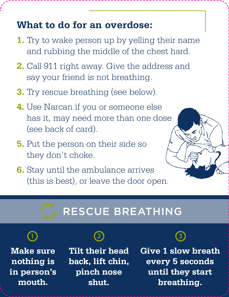#### **What to do for an overdose:**

- **1.** Try to wake person up by yelling their name and rubbing the middle of the chest hard.
- **2.** Call 911 right away. Give the address and say your friend is not breathing.
- **3.** Try rescue breathing (see below).
- **4.** Use Narcan if you or someone else has it, may need more than one dose (see back of card).
- **5.** Put the person on their side so they don't choke.
- **6.** Stay until the ambulance arrives (this is best), or leave the door open.

### Rescue breathing

**Make sure nothing is in person's mouth.**



**Tilt their head back, lift chin, pinch nose shut.**



**Give 1 slow breath every 5 seconds until they start breathing.**